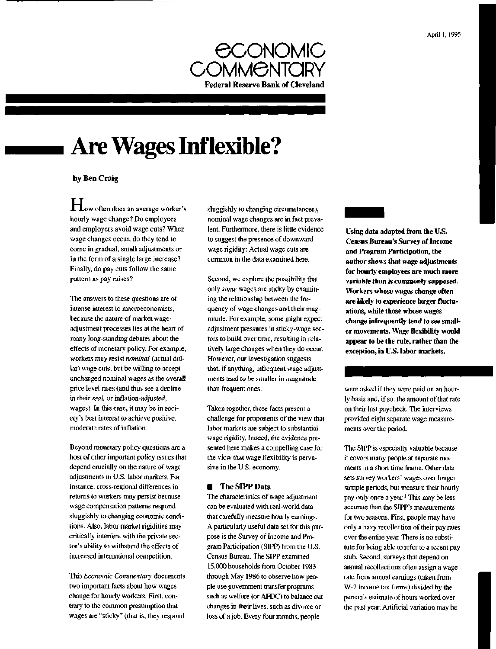

# **Are Wages Inflexible?**

## by Ben Craig

**H**ow often does an average worker's hourly wage change? Do employees and employers avoid wage cuts? When wage changes occur, do they tend to come in gradual, small adjustments or in the form of a single large increase? Finally, do pay cuts follow the same pattern as pay raises?

The answers to these questions are of intense interest to macroeconomists, because the nature of market wageadjustment processes lies at the heart of many long-standing debates about the effects of monetary policy. For example, workers may resist *nominal* (actual dollar) wage cuts, but be willing to accept unchanged nominal wages as the overall price level rises (and thus see a decline in their *real,* or inflation-adjusted, wages). In this case, it may be in society's best interest to achieve positive, moderate rates of inflation.

Beyond monetary policy questions are a host of other important policy issues that depend crucially on the nature of wage adjustments in U.S. labor markets. For instance, cross-regional differences in returns to workers may persist because wage compensation patterns respond sluggishly to changing economic conditions. Also, labor market rigidities may critically interfere with the private sector's ability to withstand the effects of increased international competition.

This *Economic Commentary* documents two important facts about how wages change for hourly workers. First, contrary to the common presumption that wages are "sticky" (that is, they respond

sluggishly to changing circumstances), nominal wage changes are in fact prevalent. Furthermore, there is little evidence to suggest the presence of downward wage rigidity: Actual wage cuts are common in the data examined here.

Second, we explore the possibility that only *some* wages are sticky by examining the relationship between the frequency of wage changes and their magnitude. For example, some might expect adjustment pressures in sticky-wage sectors to build over time, resulting in relatively large changes when they do occur. However, our investigation suggests that, if anything, infrequent wage adjustments tend to be smaller in magnitude than frequent ones.

Taken together, these facts present a challenge for proponents of the view that labor markets are subject to substantial wage rigidity. Indeed, the evidence presented here makes a compelling case for the view that wage flexibility is pervasive in the U.S. economy.

#### **The SIPP Data**

The characteristics of wage adjustment can be evaluated with real-world data that carefully measure hourly earnings. A particularly useful data set for this purpose is the Survey of Income and Program Participation (SIPP) from the U.S. Census Bureau. The SIPP examined 15,000 households from October 1983 through May 1986 to observe how people use government transfer programs such as welfare (or AFDC) to balance out changes in their lives, such as divorce or loss of a job. Every four months, people

**Using data adapted from the U.S. Census Bureau's Survey of Income and Program Participation, the author shows that wage adjustments for hourly employees are much more variable than is commonly supposed. Workers whose wages change often are likely to experience larger fluctuations, while those whose wages change infrequently tend to see smaller movements. Wage flexibility would appear to be the rule, rather than the exception, in U.S. labor markets.**

were asked if they were paid on an hourly basis and, if so, the amount of that rate on their last paycheck. The interviews provided eight separate wage measurements over the period.

The SIPP is especially valuable because it covers many people at separate moments in a short time frame. Other data sets survey workers' wages over longer sample periods, but measure their hourly pay only once a year.<sup>1</sup> This may be less accurate than the SIPP's measurements for two reasons. First, people may have only a hazy recollection of their pay rates over the entire year. There is no substitute for being able to refer to a recent pay stub. Second, surveys that depend on annual recollections often assign a wage rate from annual earnings (taken from W-2 income tax forms) divided by the person's estimate of hours worked over the past year. Artificial variation may be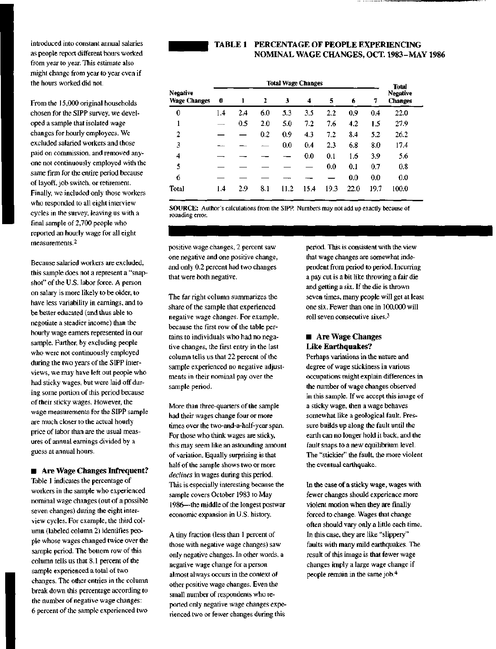introduced into constant annual salaries as people report different hours worked from year to year. This estimate also might change from year to year even if the hours worked did not.

From the 15,000 original households chosen for the SIPP survey, we developed a sample that isolated wage changes for hourly employees. We excluded salaried workers and those paid on commission, and removed anyone not continuously employed with the same firm for the entire period because of layoff, job switch, or retirement. Finally, we included only those workers who responded to all eight interview cycles in the survey, leaving us with a final sample of 2,700 people who reported an hourly wage for all eight measurements.<sup>2</sup>

Because salaried workers are excluded, this sample does not a represent a "snapshot" of the U.S. labor force. A person on salary is more likely to be older, to have less variability in earnings, and to be better educated (and thus able to negotiate a steadier income) than the hourly wage earners represented in our sample. Further, by excluding people who were not continuously employed during the two years of the SIPP interviews, we may have left out people who had sticky wages, but were laid off during some portion of this period because of their sticky wages. However, the wage measurements for the SIPP sample are much closer to the actual hourly price of labor than are the usual measures of annual earnings divided by a guess at annual hours.

■ Are Wage Changes Infrequent?

Table 1 indicates the percentage of workers in the sample who experienced nominal wage changes (out of a possible seven changes) during the eight interview cycles. For example, the third column (labeled column 2) identifies people whose wages changed twice over the sample period. The bottom row of this column tells us that 8.1 percent of the sample experienced a total of two changes. The other entries in the column break down this percentage according to the number of negative wage changes: 6 percent of the sample experienced two

# TABLE 1 PERCENTAGE OF PEOPLE EXPERIENCING NOMINAL WAGE CHANGES, OCT. 1983-MAY 1986

|                                        | <b>Total Wage Changes</b> |     |     |      |      |      |      |      | Total                             |
|----------------------------------------|---------------------------|-----|-----|------|------|------|------|------|-----------------------------------|
| <b>Negative</b><br><b>Wage Changes</b> | 0                         | ı   | 2   | 3    | 4    | 5    | 6    | 7    | <b>Negative</b><br><b>Changes</b> |
| 0                                      | 1.4                       | 2.4 | 6.0 | 5.3  | 3.5  | 2.2  | 0.9  | 0.4  | 22.0                              |
| 1                                      |                           | 0.5 | 2.0 | 5.0  | 7.2  | 7.6  | 4.2  | 1.5  | 27.9                              |
| 2                                      |                           |     | 0.2 | 0.9  | 4.3  | 7.2  | 8.4  | 5.2  | 26.2                              |
| 3                                      |                           |     |     | 0.0  | 0.4  | 2.3  | 6.8  | 8.0  | 17.4                              |
| 4                                      |                           |     |     |      | 0.0  | 0.1  | 1.6  | 3.9  | 5.6                               |
| 5                                      |                           |     |     |      |      | 0.0  | 0.1  | 0.7  | 0.8                               |
| 6                                      |                           |     |     |      |      |      | 0.0  | 0.0  | 0.0                               |
| <b>Total</b>                           | 1.4                       | 2.9 | 8.1 | 11.2 | 15.4 | 19.3 | 22.0 | 19.7 | 100.0                             |

**SOURCE:** Author's calculations from the SIPP. Numbers may not add up exactly because of rounding error.

positive wage changes, 2 percent saw one negative and one positive change, and only 0.2 percent had two changes that were both negative.

The far right column summarizes the share of the sample that experienced negative wage changes. For example, because the first row of the table pertains to individuals who had no negative changes, the first entry in the last column tells us that 22 percent of the sample experienced no negative adjustments in their nominal pay over the sample period.

More than three-quarters of the sample had their wages change four or more times over the two-and-a-half-year span. For those who think wages are sticky, this may seem like an astounding amount of variation. Equally surprising is that half of the sample shows two or more *declines* in wages during this period. This is especially interesting because the sample covers October 1983 to May 1986—the middle of the longest postwar economic expansion in U.S. history.

A tiny fraction (less than 1 percent of those with negative wage changes) saw only negative changes. In other words, a negative wage change for a person almost always occurs in the context of other positive wage changes. Even the small number of respondents who reported only negative wage changes experienced two or fewer changes during this

period. This is consistent with the view that wage changes are somewhat independent from period to period. Incurring a pay cut is a bit like throwing a fair die and getting a six. If the die is thrown seven times, many people will get at least one six. Fewer than one in 100,000 will roll seven consecutive sixes.<sup>3</sup>

## **E** Are Wage Changes Like Earthquakes?

Perhaps variations in the nature and degree of wage stickiness in various occupations might explain differences in the number of wage changes observed in this sample. If we accept this image of a sticky wage, then a wage behaves somewhat like a geological fault. Pressure builds up along the fault until the earth can no longer hold it back, and the fault snaps to a new equilibrium level. The "stickier" the fault, the more violent the eventual earthquake.

In the case of a sticky wage, wages with fewer changes should experience more violent motion when they are finally forced to change. Wages that change often should vary only a little each time. In this case, they are like "slippery" faults with many mild earthquakes. The result of this image is that fewer wage changes imply a large wage change if people remain in the same job.<sup>4</sup>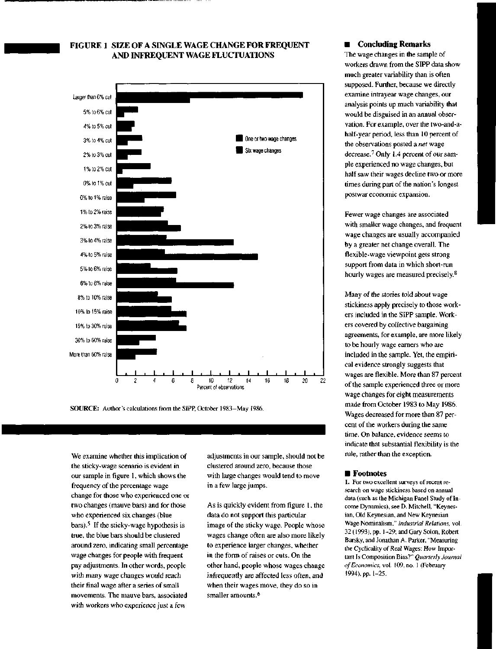# FIGURE 1 SIZE OF A SINGLE WAGE CHANGE FOR FREQUENT AND INFREQUENT WAGE FLUCTUATIONS



**SOURCE:** Author's calculations from the SIPP, October 1983-May 1986.

We examine whether this implication of the sticky-wage scenario is evident in our sample in figure 1, which shows the frequency of the percentage wage change for those who experienced one or two changes (mauve bars) and for those who experienced six changes (blue bars).<sup>5</sup> If the sticky-wage hypothesis is true, the blue bars should be clustered around zero, indicating small percentage wage changes for people with frequent pay adjustments. In other words, people with many wage changes would reach their final wage after a series of small movements. The mauve bars, associated with workers who experience just a few

adjustments in our sample, should not be clustered around zero, because those with large changes would tend to move in a few large jumps.

As is quickly evident from figure 1, the data do not support this particular image of the sticky wage. People whose wages change often are also more likely to experience larger changes, whether in the form of raises or cuts. On the other hand, people whose wages change infrequently are affected less often, and when their wages move, they do so in smaller amounts.<sup>6</sup>

#### **E** Concluding Remarks

The wage changes in the sample of workers drawn from the SIPP data show much greater variability than is often supposed. Further, because we directly examine intrayear wage changes, our analysis points up much variability that would be disguised in an annual observation. For example, over the two-and-ahalf-year period, less than 10 percent of the observations posted a *net* wage decrease.<sup>7</sup> Only 1.4 percent of our sample experienced no wage changes, but half saw their wages decline two or more times during part of the nation's longest postwar economic expansion.

Fewer wage changes are associated with smaller wage changes, and frequent wage changes are usually accompanied by a greater net change overall. The flexible-wage viewpoint gets strong support from data in which short-run hourly wages are measured precisely.<sup>8</sup>

Many of the stories told about wage stickiness apply precisely to those workers included in the SIPP sample. Workers covered by collective bargaining agreements, for example, are more likely to be hourly wage earners who are included in the sample. Yet, the empirical evidence strongly suggests that wages are flexible. More than 87 percent of the sample experienced three or more wage changes for eight measurements made from October 1983 to May 1986. Wages decreased for more than 87 percent of the workers during the same time. On balance, evidence seems to indicate that substantial flexibility is the rule, rather than the exception.

#### **• Footnotes**

1. For two excellent surveys of recent research on wage stickiness based on annual data (such as the Michigan Panel Study of Income Dynamics), see D. Mitchell, "Keynesian, Old Keynesian, and New Keynesian Wage Nominalism," *Industrial Relations,* vol. 32 (1993), pp. 1-29; and Gary Solon, Robert Barsky, and Jonathan A. Parker, "Measuring the Cyclicality of Real Wages: How Important Is Composition Bias?" *Quarterly Journal of Economics,* vol. 109, no. 1 (February 1994), pp. 1-25.